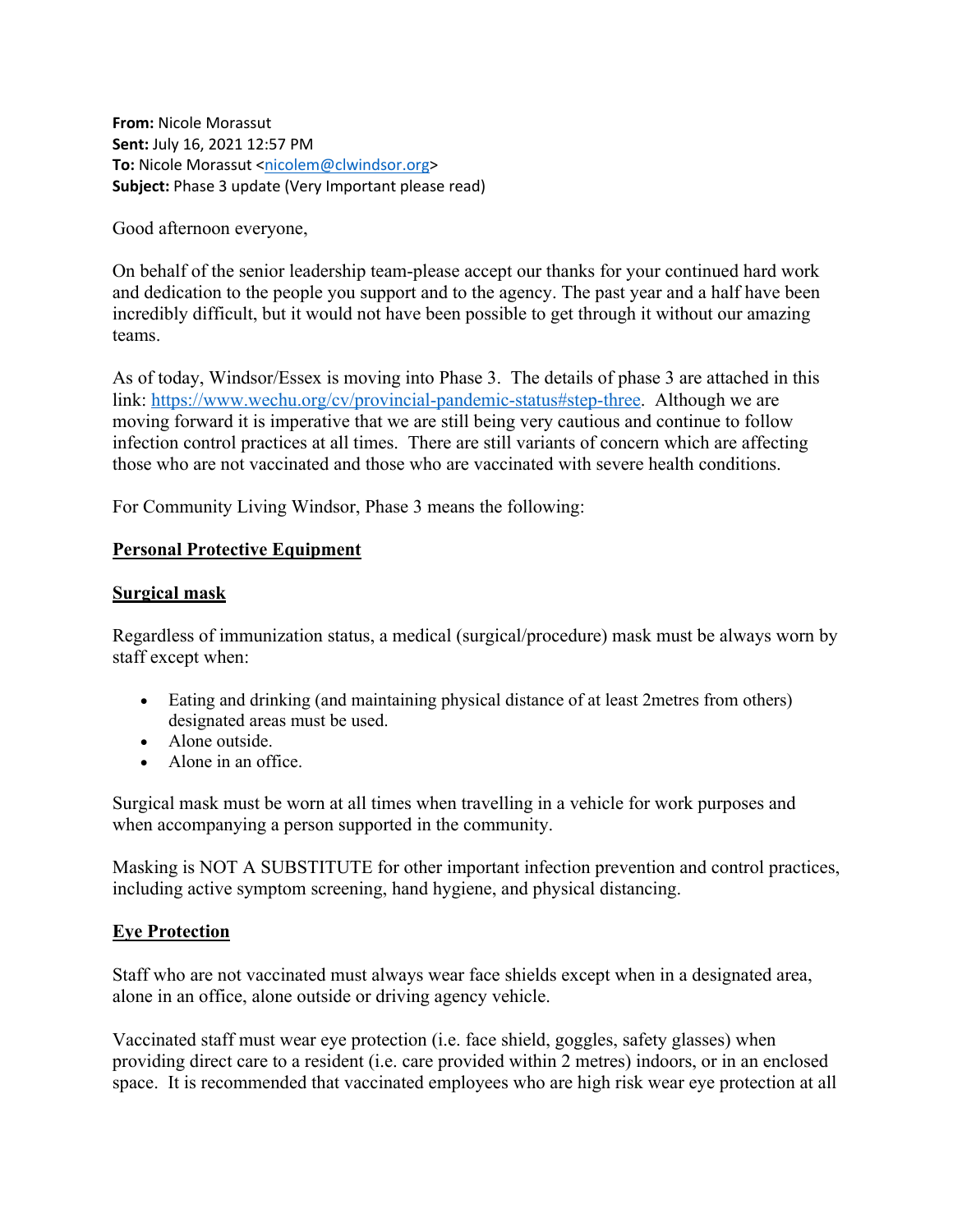**From:** Nicole Morassut **Sent:** July 16, 2021 12:57 PM **To:** Nicole Morassut <nicolem@clwindsor.org> **Subject:** Phase 3 update (Very Important please read)

Good afternoon everyone,

On behalf of the senior leadership team-please accept our thanks for your continued hard work and dedication to the people you support and to the agency. The past year and a half have been incredibly difficult, but it would not have been possible to get through it without our amazing teams.

As of today, Windsor/Essex is moving into Phase 3. The details of phase 3 are attached in this link: https://www.wechu.org/cv/provincial-pandemic-status#step-three. Although we are moving forward it is imperative that we are still being very cautious and continue to follow infection control practices at all times. There are still variants of concern which are affecting those who are not vaccinated and those who are vaccinated with severe health conditions.

For Community Living Windsor, Phase 3 means the following:

## **Personal Protective Equipment**

## **Surgical mask**

Regardless of immunization status, a medical (surgical/procedure) mask must be always worn by staff except when:

- Eating and drinking (and maintaining physical distance of at least 2metres from others) designated areas must be used.
- Alone outside.
- Alone in an office.

Surgical mask must be worn at all times when travelling in a vehicle for work purposes and when accompanying a person supported in the community.

Masking is NOT A SUBSTITUTE for other important infection prevention and control practices, including active symptom screening, hand hygiene, and physical distancing.

# **Eye Protection**

Staff who are not vaccinated must always wear face shields except when in a designated area, alone in an office, alone outside or driving agency vehicle.

Vaccinated staff must wear eye protection (i.e. face shield, goggles, safety glasses) when providing direct care to a resident (i.e. care provided within 2 metres) indoors, or in an enclosed space. It is recommended that vaccinated employees who are high risk wear eye protection at all